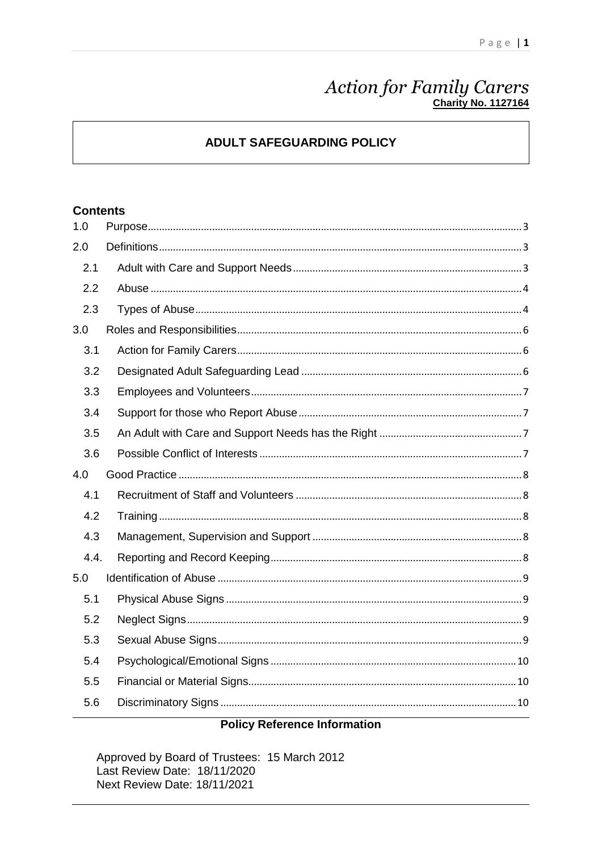# Action for Family Carers

# **ADULT SAFEGUARDING POLICY**

## **Contents**

| 1.0  |  |
|------|--|
| 2.0  |  |
| 2.1  |  |
| 2.2  |  |
| 2.3  |  |
| 3.0  |  |
| 3.1  |  |
| 3.2  |  |
| 3.3  |  |
| 3.4  |  |
| 3.5  |  |
| 3.6  |  |
|      |  |
| 4.0  |  |
| 4.1  |  |
| 4.2  |  |
| 4.3  |  |
| 4.4. |  |
| 5.0  |  |
| 5.1  |  |
| 5.2  |  |
| 5.3  |  |
| 5.4  |  |
| 5.5  |  |
| 5.6  |  |

## **Policy Reference Information**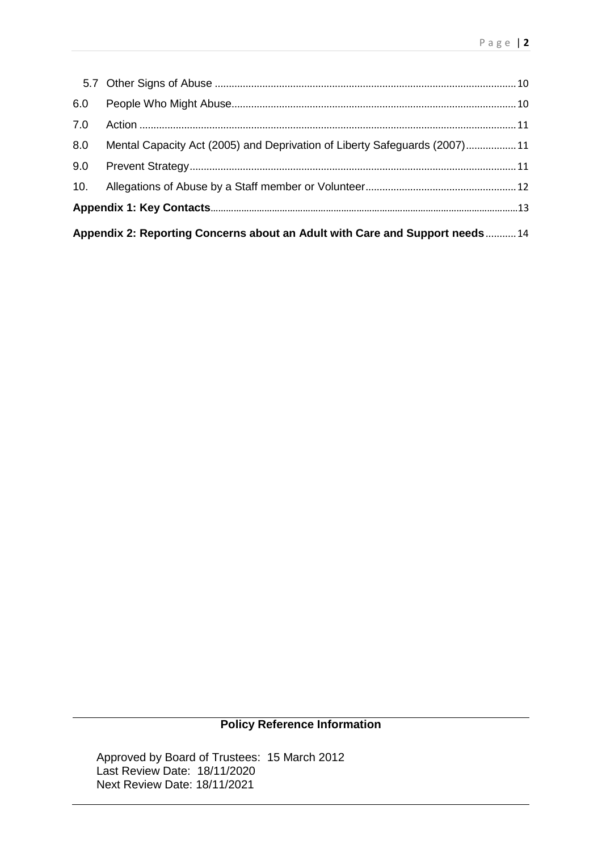| 6.0                                                                         |                                                                           |  |
|-----------------------------------------------------------------------------|---------------------------------------------------------------------------|--|
| 7.0                                                                         |                                                                           |  |
| 8.0                                                                         | Mental Capacity Act (2005) and Deprivation of Liberty Safeguards (2007)11 |  |
| 9.0                                                                         |                                                                           |  |
| 10.                                                                         |                                                                           |  |
|                                                                             |                                                                           |  |
| Appendix 2: Reporting Concerns about an Adult with Care and Support needs14 |                                                                           |  |

# **Policy Reference Information**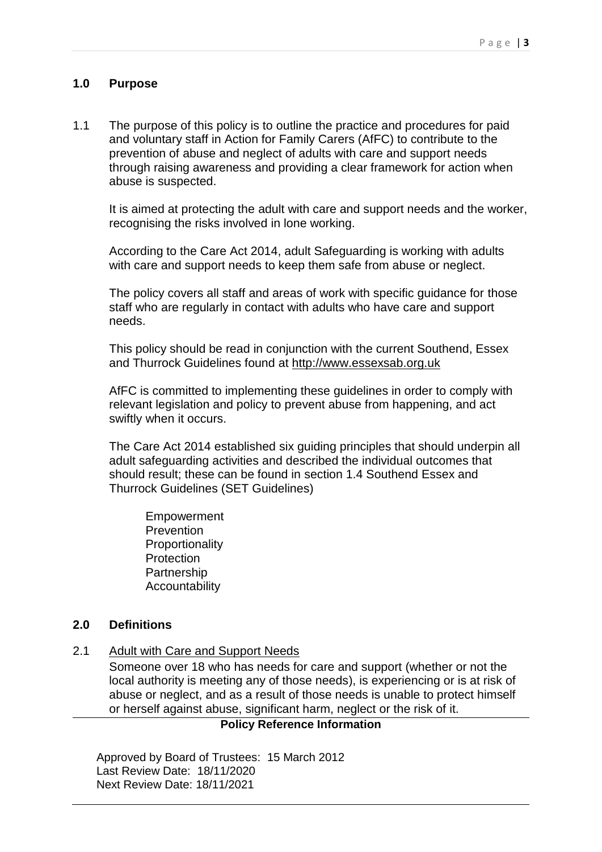#### <span id="page-2-0"></span>**1.0 Purpose**

1.1 The purpose of this policy is to outline the practice and procedures for paid and voluntary staff in Action for Family Carers (AfFC) to contribute to the prevention of abuse and neglect of adults with care and support needs through raising awareness and providing a clear framework for action when abuse is suspected.

It is aimed at protecting the adult with care and support needs and the worker, recognising the risks involved in lone working.

According to the Care Act 2014, adult Safeguarding is working with adults with care and support needs to keep them safe from abuse or neglect.

The policy covers all staff and areas of work with specific guidance for those staff who are regularly in contact with adults who have care and support needs.

This policy should be read in conjunction with the current Southend, Essex and Thurrock Guidelines found at [http://www.essexsab.org.uk](http://www.essexsab.org.uk/)

AfFC is committed to implementing these guidelines in order to comply with relevant legislation and policy to prevent abuse from happening, and act swiftly when it occurs.

The Care Act 2014 established six guiding principles that should underpin all adult safeguarding activities and described the individual outcomes that should result; these can be found in section 1.4 Southend Essex and Thurrock Guidelines (SET Guidelines)

Empowerment **Prevention Proportionality Protection Partnership** Accountability

#### <span id="page-2-1"></span>**2.0 Definitions**

<span id="page-2-2"></span>2.1 Adult with Care and Support Needs

Someone over 18 who has needs for care and support (whether or not the local authority is meeting any of those needs), is experiencing or is at risk of abuse or neglect, and as a result of those needs is unable to protect himself or herself against abuse, significant harm, neglect or the risk of it.

#### **Policy Reference Information**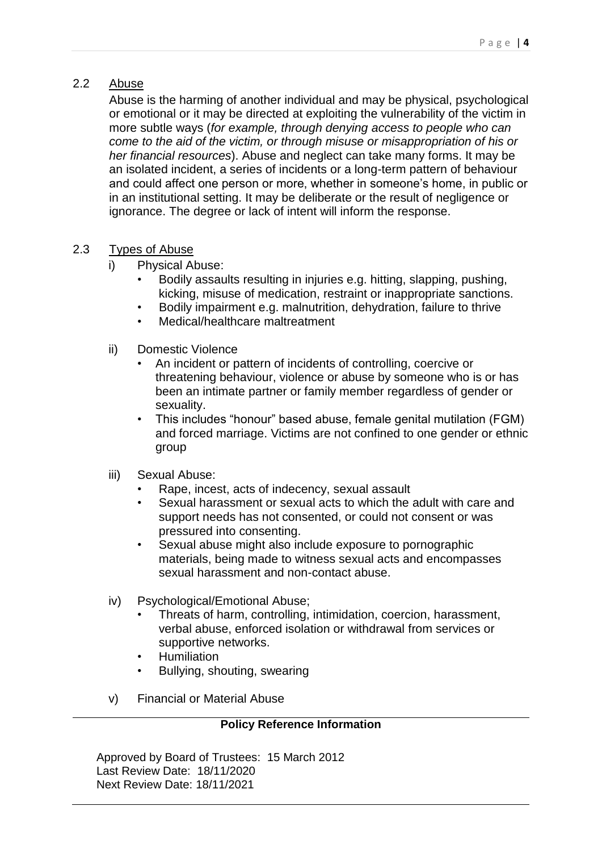# <span id="page-3-0"></span>2.2 Abuse

Abuse is the harming of another individual and may be physical, psychological or emotional or it may be directed at exploiting the vulnerability of the victim in more subtle ways (*for example, through denying access to people who can come to the aid of the victim, or through misuse or misappropriation of his or her financial resources*). Abuse and neglect can take many forms. It may be an isolated incident, a series of incidents or a long-term pattern of behaviour and could affect one person or more, whether in someone's home, in public or in an institutional setting. It may be deliberate or the result of negligence or ignorance. The degree or lack of intent will inform the response.

## <span id="page-3-1"></span>2.3 Types of Abuse

- i) Physical Abuse:
	- Bodily assaults resulting in injuries e.g. hitting, slapping, pushing, kicking, misuse of medication, restraint or inappropriate sanctions.
	- Bodily impairment e.g. malnutrition, dehydration, failure to thrive
	- Medical/healthcare maltreatment
- ii) Domestic Violence
	- An incident or pattern of incidents of controlling, coercive or threatening behaviour, violence or abuse by someone who is or has been an intimate partner or family member regardless of gender or sexuality.
	- This includes "honour" based abuse, female genital mutilation (FGM) and forced marriage. Victims are not confined to one gender or ethnic group
- iii) Sexual Abuse:
	- Rape, incest, acts of indecency, sexual assault
	- Sexual harassment or sexual acts to which the adult with care and support needs has not consented, or could not consent or was pressured into consenting.
	- Sexual abuse might also include exposure to pornographic materials, being made to witness sexual acts and encompasses sexual harassment and non-contact abuse.
- iv) Psychological/Emotional Abuse;
	- Threats of harm, controlling, intimidation, coercion, harassment, verbal abuse, enforced isolation or withdrawal from services or supportive networks.
	- Humiliation
	- Bullying, shouting, swearing
- v) Financial or Material Abuse

#### **Policy Reference Information**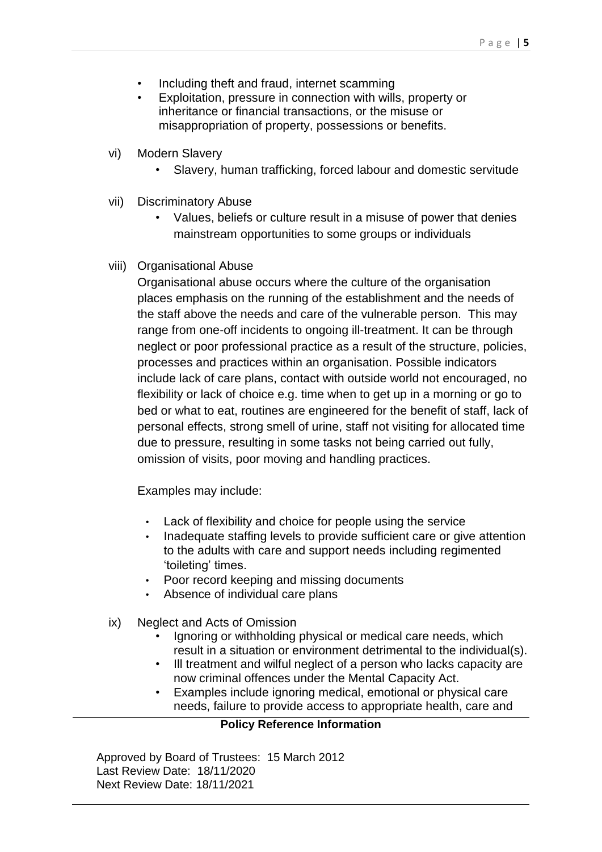- Including theft and fraud, internet scamming
- Exploitation, pressure in connection with wills, property or inheritance or financial transactions, or the misuse or misappropriation of property, possessions or benefits.
- vi) Modern Slavery
	- Slavery, human trafficking, forced labour and domestic servitude
- vii) Discriminatory Abuse
	- Values, beliefs or culture result in a misuse of power that denies mainstream opportunities to some groups or individuals
- viii) Organisational Abuse

Organisational abuse occurs where the culture of the organisation places emphasis on the running of the establishment and the needs of the staff above the needs and care of the vulnerable person. This may range from one-off incidents to ongoing ill-treatment. It can be through neglect or poor professional practice as a result of the structure, policies, processes and practices within an organisation. Possible indicators include lack of care plans, contact with outside world not encouraged, no flexibility or lack of choice e.g. time when to get up in a morning or go to bed or what to eat, routines are engineered for the benefit of staff, lack of personal effects, strong smell of urine, staff not visiting for allocated time due to pressure, resulting in some tasks not being carried out fully, omission of visits, poor moving and handling practices.

Examples may include:

- Lack of flexibility and choice for people using the service
- Inadequate staffing levels to provide sufficient care or give attention to the adults with care and support needs including regimented 'toileting' times.
- Poor record keeping and missing documents
- Absence of individual care plans
- ix) Neglect and Acts of Omission
	- Ignoring or withholding physical or medical care needs, which result in a situation or environment detrimental to the individual(s).
	- Ill treatment and wilful neglect of a person who lacks capacity are now criminal offences under the Mental Capacity Act.
	- Examples include ignoring medical, emotional or physical care needs, failure to provide access to appropriate health, care and

## **Policy Reference Information**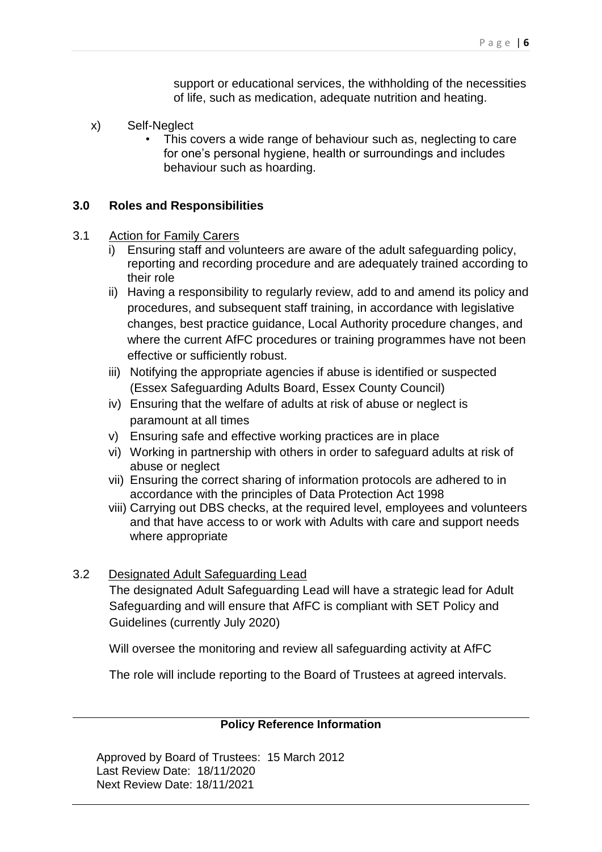support or educational services, the withholding of the necessities of life, such as medication, adequate nutrition and heating.

- x) Self-Neglect
	- This covers a wide range of behaviour such as, neglecting to care for one's personal hygiene, health or surroundings and includes behaviour such as hoarding.

#### <span id="page-5-0"></span>**3.0 Roles and Responsibilities**

#### <span id="page-5-1"></span>3.1 Action for Family Carers

- i) Ensuring staff and volunteers are aware of the adult safeguarding policy, reporting and recording procedure and are adequately trained according to their role
- ii) Having a responsibility to regularly review, add to and amend its policy and procedures, and subsequent staff training, in accordance with legislative changes, best practice guidance, Local Authority procedure changes, and where the current AfFC procedures or training programmes have not been effective or sufficiently robust.
- iii) Notifying the appropriate agencies if abuse is identified or suspected (Essex Safeguarding Adults Board, Essex County Council)
- iv) Ensuring that the welfare of adults at risk of abuse or neglect is paramount at all times
- v) Ensuring safe and effective working practices are in place
- vi) Working in partnership with others in order to safeguard adults at risk of abuse or neglect
- vii) Ensuring the correct sharing of information protocols are adhered to in accordance with the principles of Data Protection Act 1998
- viii) Carrying out DBS checks, at the required level, employees and volunteers and that have access to or work with Adults with care and support needs where appropriate

## <span id="page-5-2"></span>3.2 Designated Adult Safeguarding Lead

The designated Adult Safeguarding Lead will have a strategic lead for Adult Safeguarding and will ensure that AfFC is compliant with SET Policy and Guidelines (currently July 2020)

Will oversee the monitoring and review all safeguarding activity at AfFC

The role will include reporting to the Board of Trustees at agreed intervals.

#### **Policy Reference Information**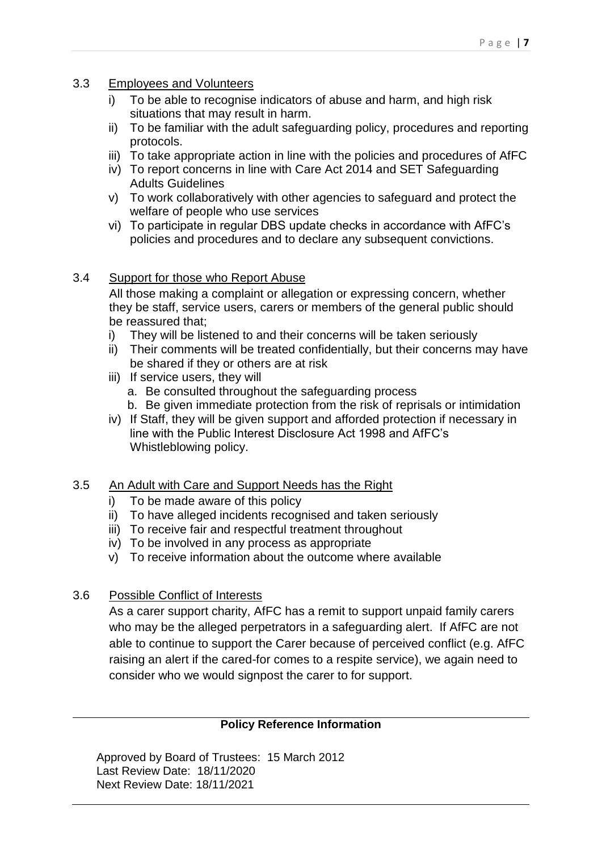- <span id="page-6-0"></span>3.3 Employees and Volunteers
	- i) To be able to recognise indicators of abuse and harm, and high risk situations that may result in harm.
	- ii) To be familiar with the adult safeguarding policy, procedures and reporting protocols.
	- iii) To take appropriate action in line with the policies and procedures of AfFC
	- iv) To report concerns in line with Care Act 2014 and SET Safeguarding Adults Guidelines
	- v) To work collaboratively with other agencies to safeguard and protect the welfare of people who use services
	- vi) To participate in regular DBS update checks in accordance with AfFC's policies and procedures and to declare any subsequent convictions.

## <span id="page-6-1"></span>3.4 Support for those who Report Abuse

All those making a complaint or allegation or expressing concern, whether they be staff, service users, carers or members of the general public should be reassured that:

- i) They will be listened to and their concerns will be taken seriously
- ii) Their comments will be treated confidentially, but their concerns may have be shared if they or others are at risk
- iii) If service users, they will
	- a. Be consulted throughout the safeguarding process
	- b. Be given immediate protection from the risk of reprisals or intimidation
- iv) If Staff, they will be given support and afforded protection if necessary in line with the Public Interest Disclosure Act 1998 and AfFC's Whistleblowing policy.

## <span id="page-6-2"></span>3.5 An Adult with Care and Support Needs has the Right

- i) To be made aware of this policy
- ii) To have alleged incidents recognised and taken seriously
- iii) To receive fair and respectful treatment throughout
- iv) To be involved in any process as appropriate
- v) To receive information about the outcome where available
- <span id="page-6-3"></span>3.6 Possible Conflict of Interests

As a carer support charity, AfFC has a remit to support unpaid family carers who may be the alleged perpetrators in a safeguarding alert. If AfFC are not able to continue to support the Carer because of perceived conflict (e.g. AfFC raising an alert if the cared-for comes to a respite service), we again need to consider who we would signpost the carer to for support.

## **Policy Reference Information**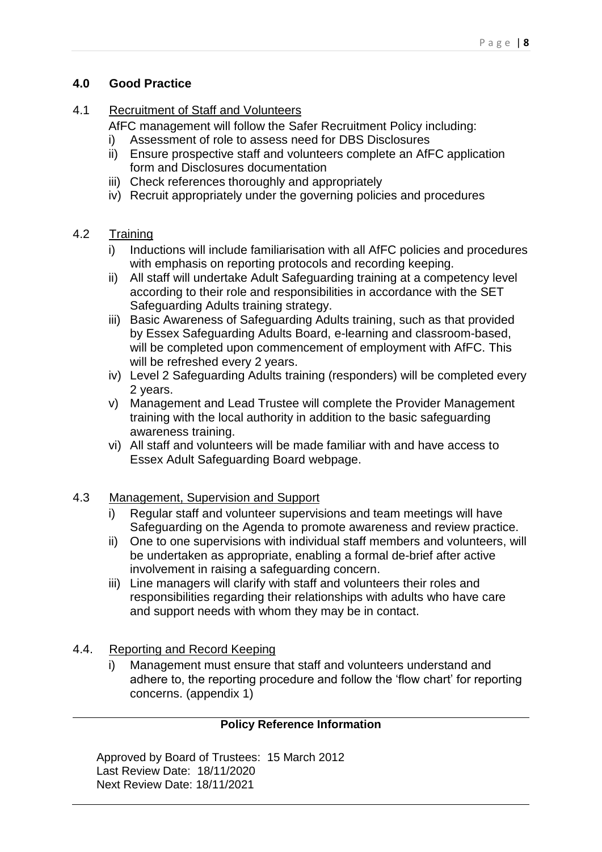# <span id="page-7-0"></span>**4.0 Good Practice**

# 4.1 Recruitment of Staff and Volunteers

<span id="page-7-1"></span>AfFC management will follow the Safer Recruitment Policy including:

- i) Assessment of role to assess need for DBS Disclosures
- ii) Ensure prospective staff and volunteers complete an AfFC application form and Disclosures documentation
- iii) Check references thoroughly and appropriately
- iv) Recruit appropriately under the governing policies and procedures

# <span id="page-7-2"></span>4.2 Training

- i) Inductions will include familiarisation with all AfFC policies and procedures with emphasis on reporting protocols and recording keeping.
- ii) All staff will undertake Adult Safeguarding training at a competency level according to their role and responsibilities in accordance with the SET Safeguarding Adults training strategy.
- iii) Basic Awareness of Safeguarding Adults training, such as that provided by Essex Safeguarding Adults Board, e-learning and classroom-based, will be completed upon commencement of employment with AfFC. This will be refreshed every 2 years.
- iv) Level 2 Safeguarding Adults training (responders) will be completed every 2 years.
- v) Management and Lead Trustee will complete the Provider Management training with the local authority in addition to the basic safeguarding awareness training.
- vi) All staff and volunteers will be made familiar with and have access to Essex Adult Safeguarding Board webpage.

# <span id="page-7-3"></span>4.3 Management, Supervision and Support

- i) Regular staff and volunteer supervisions and team meetings will have Safeguarding on the Agenda to promote awareness and review practice.
- ii) One to one supervisions with individual staff members and volunteers, will be undertaken as appropriate, enabling a formal de-brief after active involvement in raising a safeguarding concern.
- iii) Line managers will clarify with staff and volunteers their roles and responsibilities regarding their relationships with adults who have care and support needs with whom they may be in contact.

# <span id="page-7-4"></span>4.4. Reporting and Record Keeping

i) Management must ensure that staff and volunteers understand and adhere to, the reporting procedure and follow the 'flow chart' for reporting concerns. (appendix 1)

# **Policy Reference Information**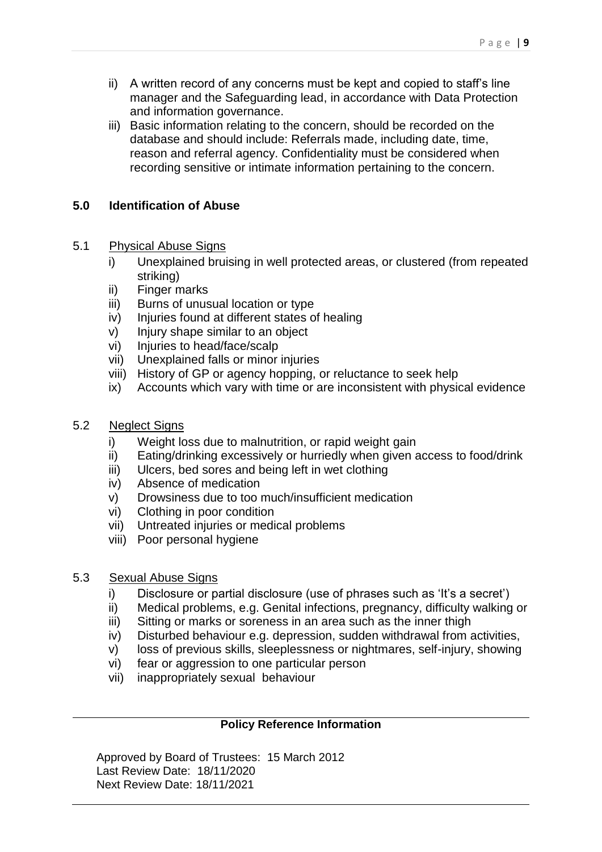- ii) A written record of any concerns must be kept and copied to staff's line manager and the Safeguarding lead, in accordance with Data Protection and information governance.
- iii) Basic information relating to the concern, should be recorded on the database and should include: Referrals made, including date, time, reason and referral agency. Confidentiality must be considered when recording sensitive or intimate information pertaining to the concern.

# <span id="page-8-0"></span>**5.0 Identification of Abuse**

## <span id="page-8-1"></span>5.1 Physical Abuse Signs

- i) Unexplained bruising in well protected areas, or clustered (from repeated striking)
- ii) Finger marks
- iii) Burns of unusual location or type
- iv) Injuries found at different states of healing
- v) Injury shape similar to an object
- vi) Injuries to head/face/scalp
- vii) Unexplained falls or minor injuries
- viii) History of GP or agency hopping, or reluctance to seek help
- ix) Accounts which vary with time or are inconsistent with physical evidence

## <span id="page-8-2"></span>5.2 Neglect Signs

- i) Weight loss due to malnutrition, or rapid weight gain
- ii) Eating/drinking excessively or hurriedly when given access to food/drink
- iii) Ulcers, bed sores and being left in wet clothing
- iv) Absence of medication
- v) Drowsiness due to too much/insufficient medication
- vi) Clothing in poor condition
- vii) Untreated injuries or medical problems
- viii) Poor personal hygiene

## <span id="page-8-3"></span>5.3 Sexual Abuse Signs

- i) Disclosure or partial disclosure (use of phrases such as 'It's a secret')
- ii) Medical problems, e.g. Genital infections, pregnancy, difficulty walking or
- iii) Sitting or marks or soreness in an area such as the inner thigh
- iv) Disturbed behaviour e.g. depression, sudden withdrawal from activities,
- v) loss of previous skills, sleeplessness or nightmares, self-injury, showing
- vi) fear or aggression to one particular person
- vii) inappropriately sexual behaviour

## **Policy Reference Information**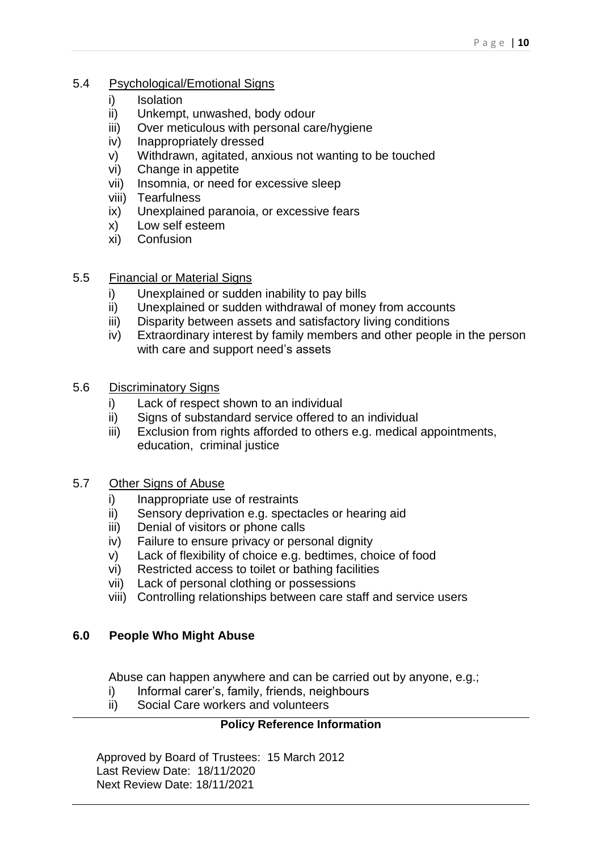## <span id="page-9-0"></span>5.4 Psychological/Emotional Signs

- i) Isolation
- ii) Unkempt, unwashed, body odour
- iii) Over meticulous with personal care/hygiene
- iv) Inappropriately dressed
- v) Withdrawn, agitated, anxious not wanting to be touched
- vi) Change in appetite
- vii) Insomnia, or need for excessive sleep
- viii) Tearfulness
- ix) Unexplained paranoia, or excessive fears
- x) Low self esteem
- xi) Confusion

## <span id="page-9-1"></span>5.5 Financial or Material Signs

- i) Unexplained or sudden inability to pay bills
- ii) Unexplained or sudden withdrawal of money from accounts
- iii) Disparity between assets and satisfactory living conditions
- iv) Extraordinary interest by family members and other people in the person with care and support need's assets
- <span id="page-9-2"></span>5.6 Discriminatory Signs
	- i) Lack of respect shown to an individual
	- ii) Signs of substandard service offered to an individual
	- iii) Exclusion from rights afforded to others e.g. medical appointments, education, criminal justice
- <span id="page-9-3"></span>5.7 Other Signs of Abuse
	- i) Inappropriate use of restraints
	- ii) Sensory deprivation e.g. spectacles or hearing aid
	- iii) Denial of visitors or phone calls
	- iv) Failure to ensure privacy or personal dignity
	- v) Lack of flexibility of choice e.g. bedtimes, choice of food
	- vi) Restricted access to toilet or bathing facilities
	- vii) Lack of personal clothing or possessions
	- viii) Controlling relationships between care staff and service users

## <span id="page-9-4"></span>**6.0 People Who Might Abuse**

Abuse can happen anywhere and can be carried out by anyone, e.g.;

- i) Informal carer's, family, friends, neighbours
- ii) Social Care workers and volunteers

# **Policy Reference Information**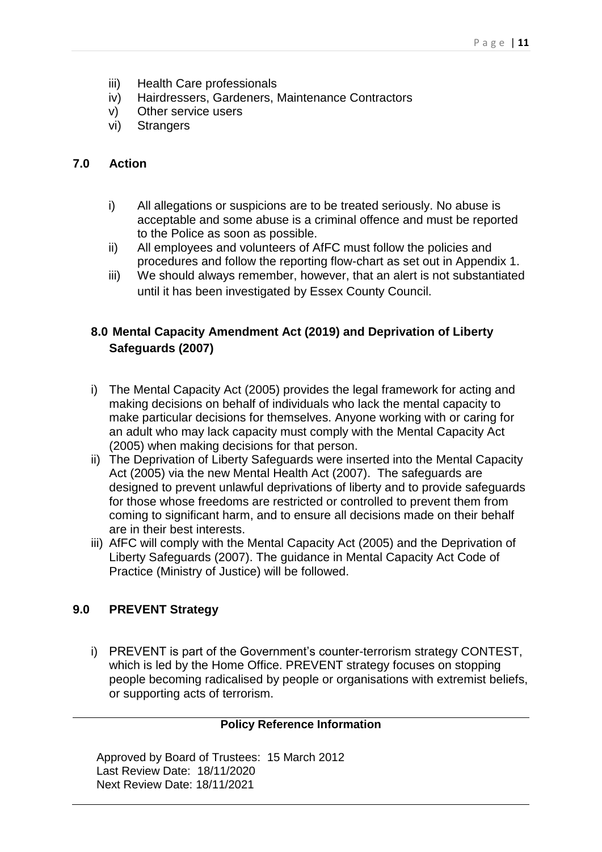- iii) Health Care professionals
- iv) Hairdressers, Gardeners, Maintenance Contractors
- v) Other service users
- vi) Strangers

## <span id="page-10-0"></span>**7.0 Action**

- i) All allegations or suspicions are to be treated seriously. No abuse is acceptable and some abuse is a criminal offence and must be reported to the Police as soon as possible.
- ii) All employees and volunteers of AfFC must follow the policies and procedures and follow the reporting flow-chart as set out in Appendix 1.
- iii) We should always remember, however, that an alert is not substantiated until it has been investigated by Essex County Council.

# <span id="page-10-1"></span>**8.0 Mental Capacity Amendment Act (2019) and Deprivation of Liberty Safeguards (2007)**

- i) The Mental Capacity Act (2005) provides the legal framework for acting and making decisions on behalf of individuals who lack the mental capacity to make particular decisions for themselves. Anyone working with or caring for an adult who may lack capacity must comply with the Mental Capacity Act (2005) when making decisions for that person.
- ii) The Deprivation of Liberty Safeguards were inserted into the Mental Capacity Act (2005) via the new Mental Health Act (2007). The safeguards are designed to prevent unlawful deprivations of liberty and to provide safeguards for those whose freedoms are restricted or controlled to prevent them from coming to significant harm, and to ensure all decisions made on their behalf are in their best interests.
- iii) AfFC will comply with the Mental Capacity Act (2005) and the Deprivation of Liberty Safeguards (2007). The guidance in Mental Capacity Act Code of Practice (Ministry of Justice) will be followed.

# <span id="page-10-2"></span>**9.0 PREVENT Strategy**

i) PREVENT is part of the Government's counter-terrorism strategy CONTEST, which is led by the Home Office. PREVENT strategy focuses on stopping people becoming radicalised by people or organisations with extremist beliefs, or supporting acts of terrorism.

## **Policy Reference Information**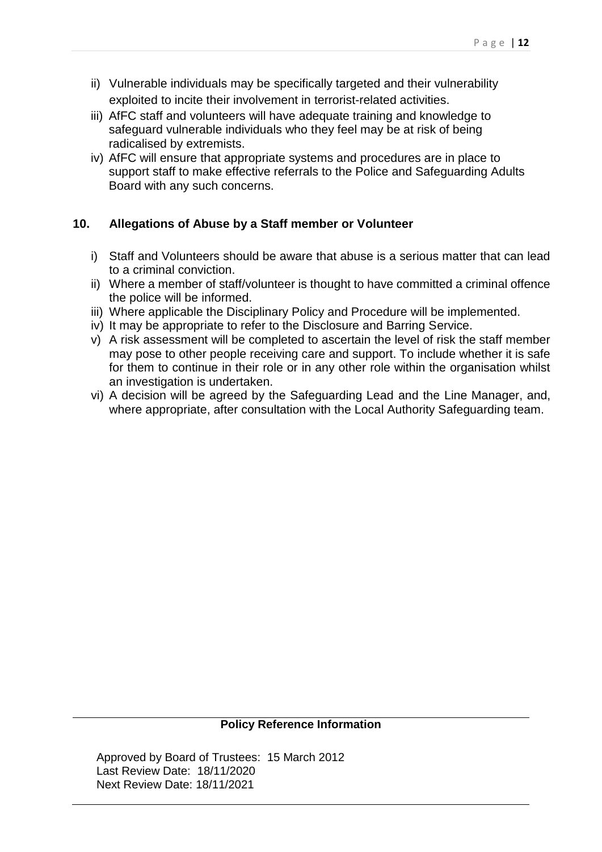- ii) Vulnerable individuals may be specifically targeted and their vulnerability exploited to incite their involvement in terrorist-related activities.
- iii) AfFC staff and volunteers will have adequate training and knowledge to safeguard vulnerable individuals who they feel may be at risk of being radicalised by extremists.
- iv) AfFC will ensure that appropriate systems and procedures are in place to support staff to make effective referrals to the Police and Safeguarding Adults Board with any such concerns.

## <span id="page-11-0"></span>**10. Allegations of Abuse by a Staff member or Volunteer**

- i) Staff and Volunteers should be aware that abuse is a serious matter that can lead to a criminal conviction.
- ii) Where a member of staff/volunteer is thought to have committed a criminal offence the police will be informed.
- iii) Where applicable the Disciplinary Policy and Procedure will be implemented.
- iv) It may be appropriate to refer to the Disclosure and Barring Service.
- v) A risk assessment will be completed to ascertain the level of risk the staff member may pose to other people receiving care and support. To include whether it is safe for them to continue in their role or in any other role within the organisation whilst an investigation is undertaken.
- vi) A decision will be agreed by the Safeguarding Lead and the Line Manager, and, where appropriate, after consultation with the Local Authority Safeguarding team.

#### **Policy Reference Information**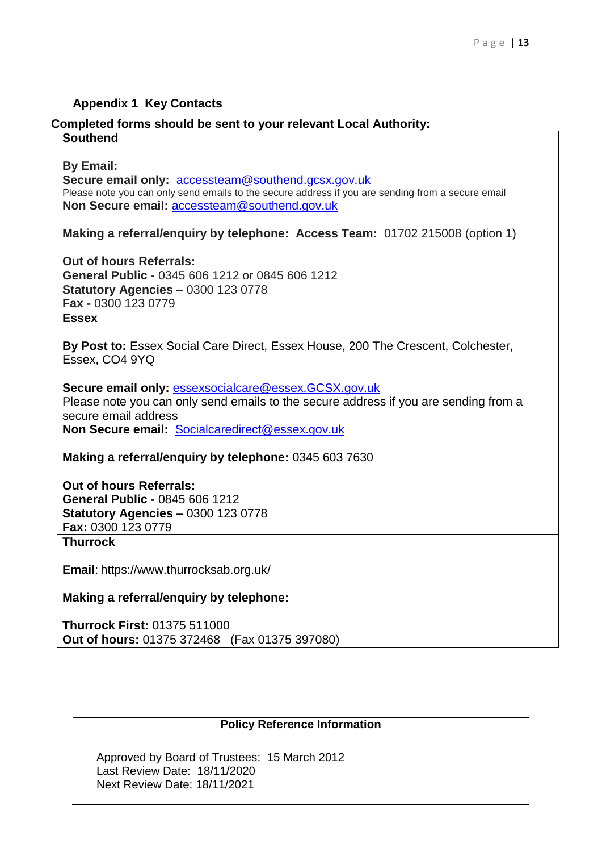## **Appendix 1 Key Contacts**

# **Completed forms should be sent to your relevant Local Authority:**

#### **Southend**

**By Email:** 

**Secure email only:** [accessteam@southend.gcsx.gov.uk](mailto:accessteam@southend.gcsx.gov.uk) Please note you can only send emails to the secure address if you are sending from a secure email **Non Secure email:** [accessteam@southend.gov.uk](mailto:accessteam@southend.gov.uk)

**Making a referral/enquiry by telephone: Access Team:** 01702 215008 (option 1)

**Out of hours Referrals: General Public -** 0345 606 1212 or 0845 606 1212 **Statutory Agencies –** 0300 123 0778 **Fax -** 0300 123 0779

## **Essex**

**By Post to:** Essex Social Care Direct, Essex House, 200 The Crescent, Colchester, Essex, CO4 9YQ

**Secure email only:** [essexsocialcare@essex.GCSX.gov.uk](mailto:essexsocialcare@essex.GCSX.gov.uk) Please note you can only send emails to the secure address if you are sending from a secure email address **Non Secure email:** [Socialcaredirect@essex.gov.uk](mailto:Socialcaredirect@essex.gov.uk)

**Making a referral/enquiry by telephone:** 0345 603 7630

**Out of hours Referrals: General Public -** 0845 606 1212 **Statutory Agencies –** 0300 123 0778 **Fax:** 0300 123 0779 **Thurrock**

**Email**: <https://www.thurrocksab.org.uk/>

**Making a referral/enquiry by telephone:**

**Thurrock First:** 01375 511000 **Out of hours:** 01375 372468 (Fax 01375 397080)

#### **Policy Reference Information**